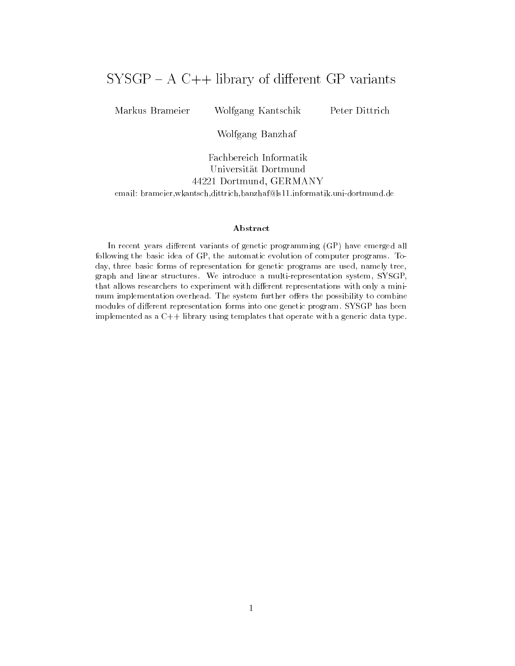# $SYSGP - A C++ library of different GP variants$

Markus Brameier Wolfgang Kantschik Peter Dittrich

Wolfgang Banzhaf

Fachbereich Informatik Universitat Dortmund 44221 Dortmund, GERMANY email: brameier,wkantsch,dittrich,banzhaf@ls11.informatik.uni-dortmund.de

#### Abstract

In recent years different variants of genetic programming (GP) have emerged all following the basic idea of GP, the automatic evolution of computer programs. Today, three basic forms of representation for genetic programs are used, namely tree,graph and linear structures. We introduce a multi-representation system, SYSGP, that allows researchers to experiment with different representations with only a minimum implementation overhead. The system further offers the possibility to combine modules of different representation forms into one genetic program. SYSGP has been implemented as a C++ library using templates that operate with a generic data type.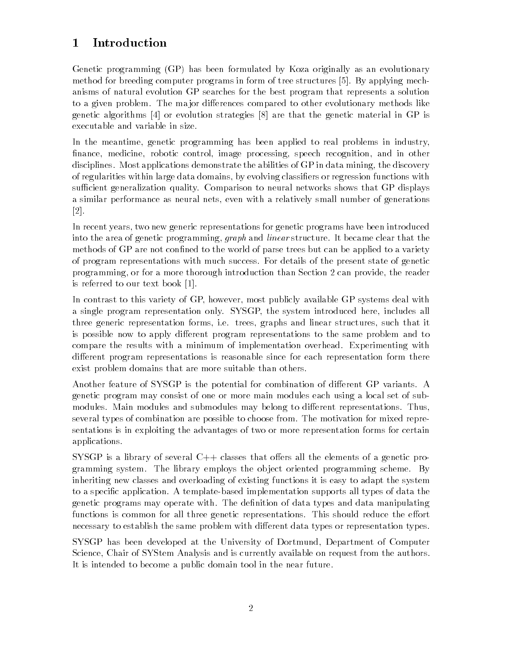#### **Introduction**  $\mathbf 1$

Genetic programming (GP) has been formulated by Koza originally as an evolutionary method for breeding computer programs in form of tree structures [5]. By applying mechanisms of natural evolution GP searches for the best program that represents a solution to a given problem. The major differences compared to other evolutionary methods like genetic algorithms [4] or evolution strategies [8] are that the genetic material in GP is executable and variable in size.

In the meantime, genetic programming has been applied to real problems in industry, finance, medicine, robotic control, image processing, speech recognition, and in other disciplines. Most applications demonstrate the abilities of GP in data mining, the discovery of regularities within large data domains, by evolving classiers or regression functions with sufficient generalization quality. Comparison to neural networks shows that GP displays a similar performance as neural nets, even with a relatively small number of generations [2].

In recent years, two new generic representations for genetic programs have been introduced into the area of genetic programming, graph and linear structure. It became clear that the methods of GP are not confined to the world of parse trees but can be applied to a variety of program representations with much success. For details of the present state of genetic programming, or for a more thorough introduction than Section 2 can provide, the reader is referred to our text book [1].

In contrast to this variety of GP, however, most publicly available GP systems deal with a single program representation only. SYSGP, the system introduced here, includes all three generic representation forms, i.e. trees, graphs and linear structures, such that it is possible now to apply different program representations to the same problem and to compare the results with a minimum of implementation overhead. Experimenting with different program representations is reasonable since for each representation form there exist problem domains that are more suitable than others.

Another feature of SYSGP is the potential for combination of different GP variants. A genetic program may consist of one or more main modules each using a local set of submodules. Main modules and submodules may belong to different representations. Thus, several types of combination are possible to choose from. The motivation for mixed representations is in exploiting the advantages of two or more representation forms for certain applications.

SYSGP is a library of several  $C++$  classes that offers all the elements of a genetic programming system. The library employs the ob ject oriented programming scheme. By inheriting new classes and overloading of existing functions it is easy to adapt the system to a specic application. A template-based implementation supports all types of data the genetic programs may operate with. The definition of data types and data manipulating functions is common for all three genetic representations. This should reduce the effort necessary to establish the same problem with different data types or representation types.

SYSGP has been developed at the University of Dortmund, Department of Computer Science, Chair of SYStem Analysis and is currently available on request from the authors. It is intended to become a public domain tool in the near future.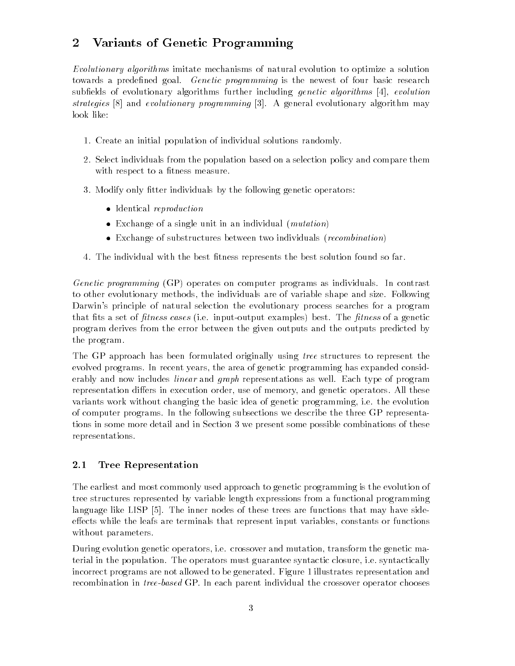#### Variants of Genetic Programming  $\overline{2}$

Evolutionary algorithms imitate mechanisms of natural evolution to optimize a solution towards a predefined goal. Genetic programming is the newest of four basic research subfields of evolutionary algorithms further including *genetic algorithms*  $[4]$ , evolution strategies [8] and evolutionary programming [3]. A general evolutionary algorithm may look like:

- 1. Create an initial population of individual solutions randomly.
- 2. Select individuals from the population based on a selection policy and compare them with respect to a fitness measure.
- 3. Modify only fitter individuals by the following genetic operators:
	- Identical reproduction
	- Exchange of a single unit in an individual (mutation)
	- Exchange of substructures between two individuals (recombination)
- 4. The individual with the best fitness represents the best solution found so far.

Genetic programming (GP) operates on computer programs as individuals. In contrast to other evolutionary methods, the individuals are of variable shape and size. Following Darwin's principle of natural selection the evolutionary process searches for a program that fits a set of *fitness cases* (i.e. input-output examples) best. The *fitness* of a genetic program derives from the error between the given outputs and the outputs predicted by the program.

The GP approach has been formulated originally using *tree* structures to represent the evolved programs. In recent years, the area of genetic programming has expanded considerably and now includes *linear* and *graph* representations as well. Each type of program representation differs in execution order, use of memory, and genetic operators. All these variants work without changing the basic idea of genetic programming, i.e. the evolution of computer programs. In the following subsections we describe the three GP representations in some more detail and in Section 3 we present some possible combinations of these representations.

### 2.1 Tree Representation

The earliest and most commonly used approach to genetic programming is the evolution of tree structures represented by variable length expressions from a functional programming language like LISP [5]. The inner nodes of these trees are functions that may have sideeffects while the leafs are terminals that represent input variables, constants or functions without parameters.

During evolution genetic operators, i.e. crossover and mutation, transform the genetic material in the population. The operators must guarantee syntactic closure, i.e. syntactically incorrect programs are not allowed to be generated. Figure 1 illustrates representation and recombination in tree-based GP. In each parent individual the crossover operator chooses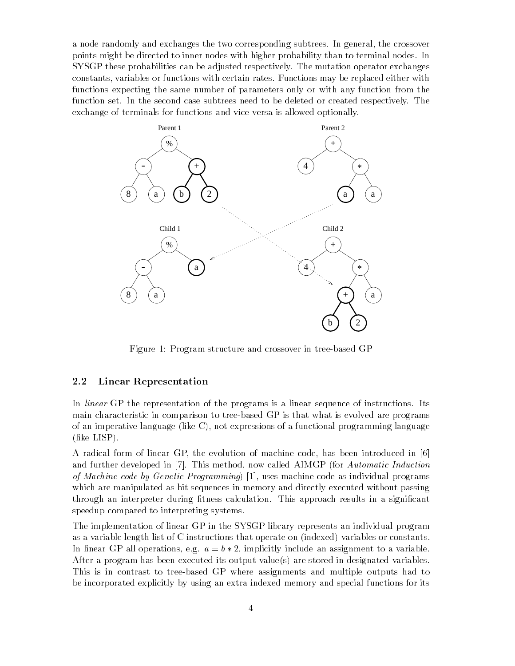a node randomly and exchanges the two corresponding subtrees. In general, the crossover points might be directed to inner nodes with higher probability than to terminal nodes. In SYSGP these probabilities can be adjusted respectively. The mutation operator exchanges constants, variables or functions with certain rates. Functions may be replaced either with functions expecting the same number of parameters only or with any function from the function set. In the second case subtrees need to be deleted or created respectively. The exchange of terminals for functions and vice versa is allowed optionally.



Figure 1: Program structure and crossover in tree-based GP

#### 2.2 Linear Representation

In *linear* GP the representation of the programs is a linear sequence of instructions. Its main characteristic in comparison to tree-based GP is that what is evolved are programs of an imperative language (like C), not expressions of a functional programming language (like LISP).

A radical form of linear GP, the evolution of machine code, has been introduced in [6] and further developed in [7]. This method, now called AIMGP (for Automatic Induction of Machine code by Genetic Programming) [1], uses machine code as individual programs which are manipulated as bit sequences in memory and directly executed without passing through an interpreter during fitness calculation. This approach results in a significant speedup compared to interpreting systems.

The implementation of linear GP in the SYSGP library represents an individual program as a variable length list of C instructions that operate on (indexed) variables or constants. In linear GP all operations, e.g.  $a = b * 2$ , implicitly include an assignment to a variable. After a program has been executed its output value(s) are stored in designated variables. This is in contrast to tree-based GP where assignments and multiple outputs had to be incorporated explicitly by using an extra indexed memory and special functions for its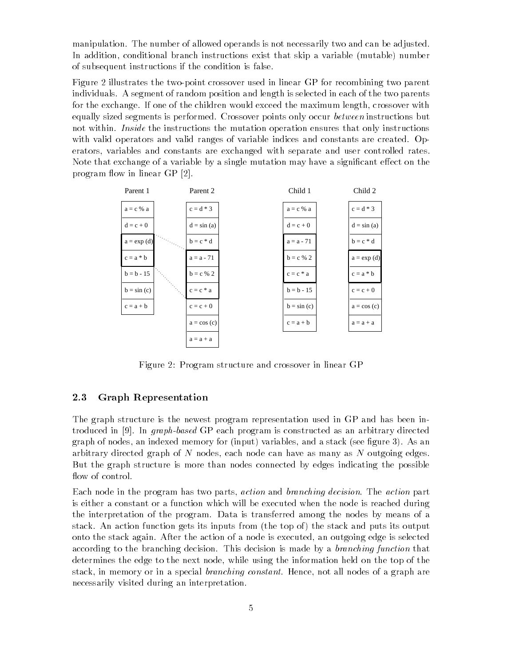manipulation. The number of allowed operands is not necessarily two and can be adjusted. In addition, conditional branch instructions exist that skip a variable (mutable) number of subsequent instructions if the condition is false.

Figure 2 illustrates the two-point crossover used in linear GP for recombining two parent individuals. A segment of random position and length is selected in each of the two parents for the exchange. If one of the children would exceed the maximum length, crossover with equally sized segments is performed. Crossover points only occur between instructions but not within. *Inside* the instructions the mutation operation ensures that only instructions with valid operators and valid ranges of variable indices and constants are created. Operators, variables and constants are exchanged with separate and user controlled rates. Note that exchange of a variable by a single mutation may have a significant effect on the program flow in linear GP [2].



Figure 2: Program structure and crossover in linear GP

### 2.3 Graph Representation

The graph structure is the newest program representation used in GP and has been introduced in [9]. In graph-based GP each program is constructed as an arbitrary directed graph of nodes, an indexed memory for (input) variables, and a stack (see figure 3). As an arbitrary directed graph of <sup>N</sup> nodes, each node can have as many as <sup>N</sup> outgoing edges. But the graph structure is more than nodes connected by edges indicating the possible flow of control.

Each node in the program has two parts, action and branching decision. The action part is either a constant or a function which will be executed when the node is reached during the interpretation of the program. Data is transferred among the nodes by means of a stack. An action function gets its inputs from (the top of ) the stack and puts its output onto the stack again. After the action of a node is executed, an outgoing edge is selected according to the branching decision. This decision is made by a *branching function* that determines the edge to the next node, while using the information held on the top of the stack, in memory or in a special branching constant. Hence, not all nodes of a graph are necessarily visited during an interpretation.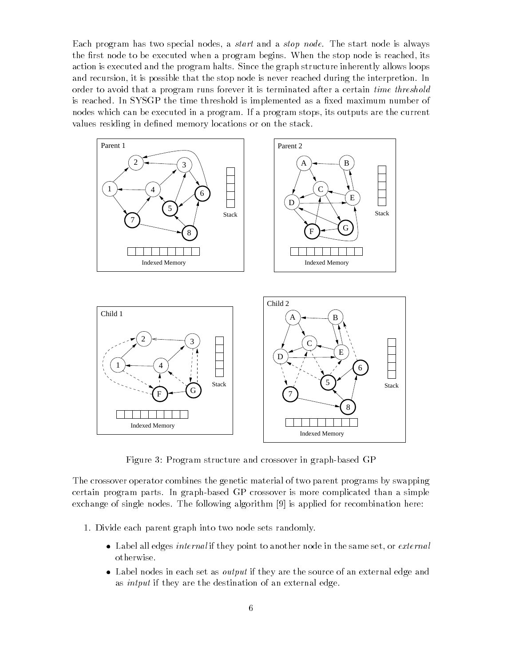Each program has two special nodes, a start and a stop node. The start node is always the first node to be executed when a program begins. When the stop node is reached, its action is executed and the program halts. Since the graph structure inherently allows loops and recursion, it is possible that the stop node is never reached during the interpretion. In order to avoid that a program runs forever it is terminated after a certain time threshold is reached. In SYSGP the time threshold is implemented as a fixed maximum number of nodes which can be executed in a program. If a program stops, its outputs are the current values residing in defined memory locations or on the stack.



Figure 3: Program structure and crossover in graph-based GP

The crossover operator combines the genetic material of two parent programs by swapping certain program parts. In graph-based GP crossover is more complicated than a simple exchange of single nodes. The following algorithm [9] is applied for recombination here:

- 1. Divide each parent graph into two node sets randomly.
	- Label all edges internal if they point to another node in the same set, or external otherwise.
	- Label nodes in each set as output if they are the source of an external edge and as intput if they are the destination of an external edge.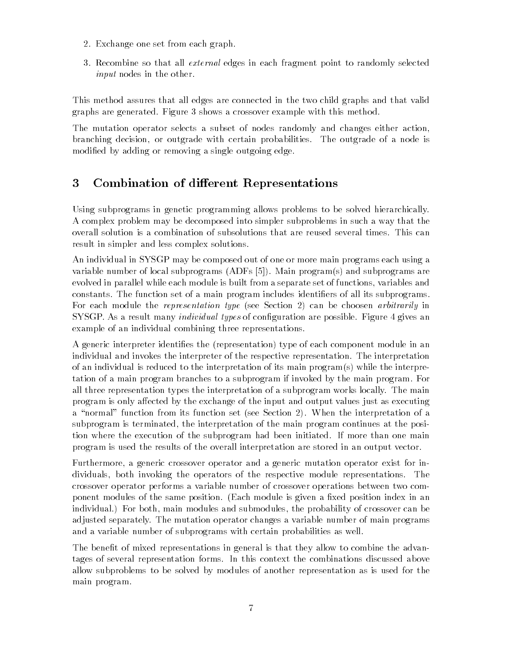- 2. Exchange one set from each graph.
- 3. Recombine so that all external edges in each fragment point to randomly selected input nodes in the other.

This method assures that all edges are connected in the two child graphs and that valid graphs are generated. Figure 3 shows a crossover example with this method.

The mutation operator selects a subset of nodes randomly and changes either action, branching decision, or outgrade with certain probabilities. The outgrade of a node is modied by adding or removing a single outgoing edge.

## 3 Combination of different Representations

Using subprograms in genetic programming allows problems to be solved hierarchically. A complex problem may be decomposed into simpler subproblems in suchaway that the overall solution is a combination of subsolutions that are reused several times. This can result in simpler and less complex solutions.

An individual in SYSGP may be composed out of one or more main programs each using a variable number of local subprograms (ADFs [5]). Main program(s) and subprograms are evolved in parallel while each module is built from a separate set of functions, variables and constants. The function set of a main program includes identiers of all its subprograms. For each module the *representation type* (see Section 2) can be choosen *arbitrarily* in SYSGP. As a result many *individual types* of configuration are possible. Figure 4 gives an example of an individual combining three representations.

A generic interpreter identifies the (representation) type of each component module in an individual and invokes the interpreter of the respective representation. The interpretation of an individual is reduced to the interpretation of its main program(s) while the interpretation of a main program branches to a subprogram if invoked by the main program. For all three representation types the interpretation of a subprogram works locally. The main program is only affected by the exchange of the input and output values just as executing a "normal" function from its function set (see Section 2). When the interpretation of a subprogram is terminated, the interpretation of the main program continues at the position where the execution of the subprogram had been initiated. If more than one main program is used the results of the overall interpretation are stored in an output vector.

Furthermore, a generic crossover operator and a generic mutation operator exist for individuals, both invoking the operators of the respective module representations. The crossover operator performs a variable number of crossover operations between two component modules of the same position. (Each module is given a fixed position index in an individual.) For both, main modules and submodules, the probability of crossover can be adjusted separately. The mutation operator changes a variable number of main programs and a variable number of subprograms with certain probabilities as well.

The benefit of mixed representations in general is that they allow to combine the advantages of several representation forms. In this context the combinations discussed above allow subproblems to be solved by modules of another representation as is used for the main program.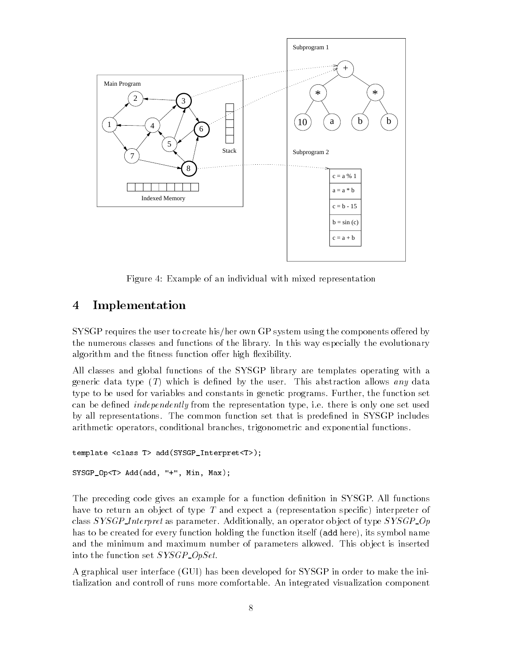

Figure 4: Example of an individual with mixed representation

## 4 Implementation

SYSGP requires the user to create his/her own GP system using the components offered by the numerous classes and functions of the library. In this way especially the evolutionary algorithm and the fitness function offer high flexibility.

All classes and global functions of the SYSGP library are templates operating with a generic data type  $(T)$  which is defined by the user. This abstraction allows any data type to be used for variables and constants in genetic programs. Further, the function set can be defined *independently* from the representation type, i.e. there is only one set used by all representations. The common function set that is predened in SYSGP includes arithmetic operators, conditional branches, trigonometric and exponential functions.

```
template <class T> add(SYSGP_Interpret<T>);
```

```
SYSGP_Op<T> Add(add, "+", Min, Max);
```
The preceding code gives an example for a function definition in SYSGP. All functions have to return an object of type T and expect a (representation specific) interpreter of class  $SYSGP\text{-}Interpret$  as parameter. Additionally, an operator object of type  $SYSGP\text{-}Op$ has to be created for every function holding the function itself (add here), its symbol name and the minimum and maximum number of parameters allowed. This ob ject is inserted into the function set SYSGP OpSet.

A graphical user interface (GUI) has been developed for SYSGP in order to make the initialization and controll of runs more comfortable. An integrated visualization component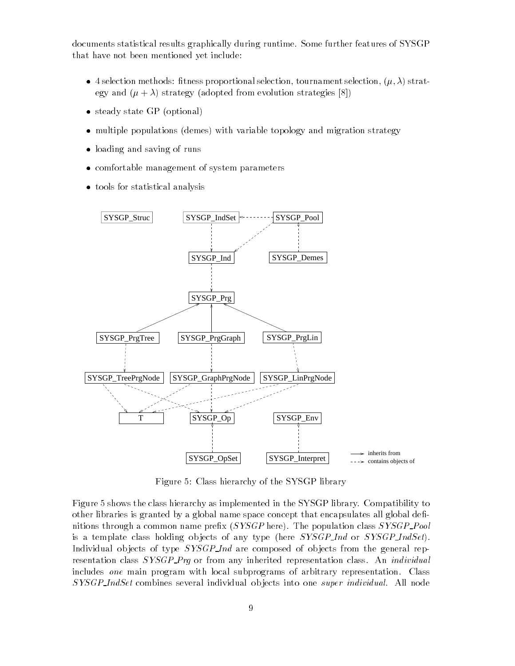documents statistical results graphically during runtime. Some further features of SYSGP that have not been mentioned yet include:

- 4 selection methods: tness proportional selection, tournament selection, (; ) strategy and  $(\mu + \lambda)$  strategy (adopted from evolution strategies [8])
- steady state GP (optional)
- multiple populations (demes) with variable topology and migration strategy
- loading and saving of runs
- comfortable management of system parameters
- to the statistical analysis for statistical analysis of the statistical analysis of the statistical analysis o



Figure 5: Class hierarchy of the SYSGP library

Figure 5 shows the class hierarchy as implemented in the SYSGP library. Compatibility to other libraries is granted by a global name space concept that encapsulates all global definitions through a common name prefix  $(SYSGP$  here). The population class  $SYSGP$ -Pool is a template class holding objects of any type (here  $SYSGP\_Ind$  or  $SYSGP\_IndSet$ ). Individual objects of type *SYSGP Ind* are composed of objects from the general representation class SYSGP\_Prq or from any inherited representation class. An *individual* includes one main program with local subprograms of arbitrary representation. Class SYSGP IndSet combines several individual ob jects into one super individual. All node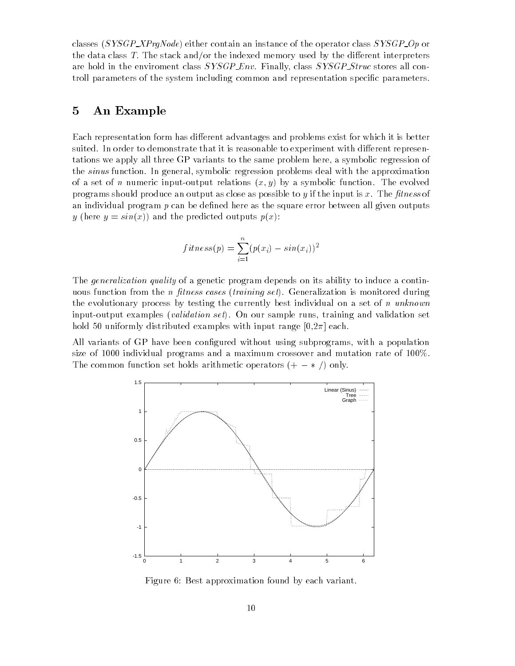classes ( $SSGP\_\text{X}\_\text{Pq}$ Node) either contain an instance of the operator class  $SYSGP\_\text{O}$  or the data class  $T$ . The stack and/or the indexed memory used by the different interpreters are hold in the enviroment class SYSGP\_Env. Finally, class SYSGP\_Struc stores all controll parameters of the system including common and representation specic parameters.

### 5 An Example

Each representation form has different advantages and problems exist for which it is better suited. In order to demonstrate that it is reasonable to experiment with different representations we apply all three GP variants to the same problem here, a symbolic regression of the sinus function. In general, symbolic regression problems deal with the approximation of a set of n numeric input-output relations  $(x, y)$  by a symbolic function. The evolved programs should produce an output as close as possible to  $y$  if the input is  $x$ . The fitness of an individual program  $p$  can be defined here as the square error between all given outputs y (here  $y = sin(x)$ ) and the predicted outputs  $p(x)$ :

$$
fitness(p) = \sum_{i=1}^{n} (p(x_i) - sin(x_i))^2
$$

The *generalization quality* of a genetic program depends on its ability to induce a continuous function from the *n* fitness cases (training set). Generalization is monitored during the evolutionary process by testing the currently best individual on a set of n unknown input-output examples (validation set). On our sample runs, training and validation set hold 50 uniformly distributed examples with input range  $[0,2\pi]$  each.

All variants of GP have been configured without using subprograms, with a population size of 1000 individual programs and a maximum crossover and mutation rate of 100%. The common function set holds arithmetic operators  $(+ - *')$  only.



Figure 6: Best approximation found by each variant.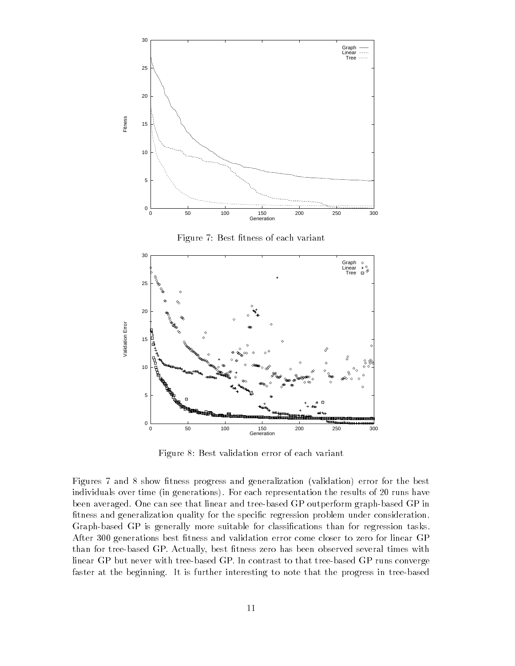

Figure 7: Best fitness of each variant



Figure 8: Best validation error of each variant

Figures 7 and 8 show fitness progress and generalization (validation) error for the best individuals over time (in generations). For each representation the results of 20 runs have been averaged. One can see that linear and tree-based GP outperform graph-based GP in fitness and generalization quality for the specific regression problem under consideration. Graph-based GP is generally more suitable for classications than for regression tasks. After 300 generations best fitness and validation error come closer to zero for linear GP than for tree-based GP. Actually, best fitness zero has been observed several times with linear GP but never with tree-based GP. In contrast to that tree-based GP runs converge faster at the beginning. It is further interesting to note that the progress in tree-based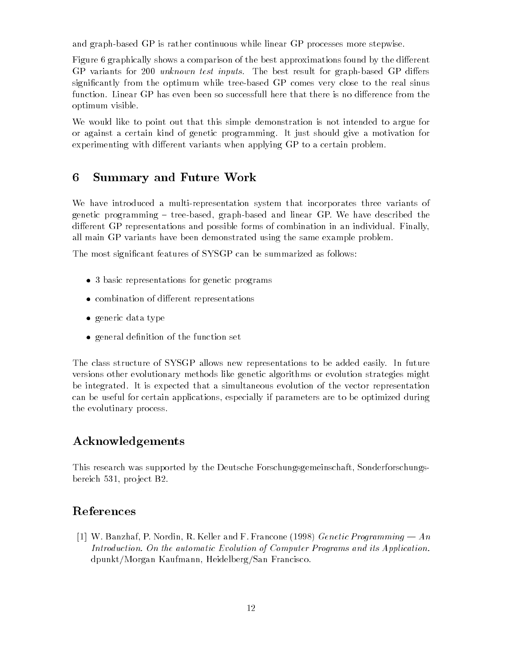and graph-based GP is rather continuous while linear GP processes more stepwise.

Figure 6 graphically shows a comparison of the best approximations found by the different GP variants for 200 *unknown test inputs*. The best result for graph-based GP differs signicantly from the optimum while tree-based GP comes very close to the real sinus function. Linear GP has even been so successfull here that there is no difference from the optimum visible.

We would like to point out that this simple demonstration is not intended to argue for or against a certain kind of genetic programming. It just should give a motivation for experimenting with different variants when applying GP to a certain problem.

#### 6 6 Summary and Future Work

We have introduced a multi-representation system that incorporates three variants of genetic programming  $-$  tree-based, graph-based and linear GP. We have described the different GP representations and possible forms of combination in an individual. Finally, all main GP variants have been demonstrated using the same example problem.

The most signicant features of SYSGP can be summarized as follows:

- 3 basic representations for genetic programs
- combination of dierent representations
- generic data territorial territorial de la construcción de la construcción de la construcción de la construcció
- general den in the function of the function  $\mathcal{L}_{\mathcal{A}}$

The class structure of SYSGP allows new representations to be added easily. In future versions other evolutionary methods like genetic algorithms or evolution strategies might be integrated. It is expected that a simultaneous evolution of the vector representation can be useful for certain applications, especially if parameters are to be optimized during the evolutinary process.

## Acknowledgements

This research was supported by the Deutsche Forschungsgemeinschaft, Sonderforschungsbereich 531, pro ject B2.

## References

[1] W. Banzhaf, P. Nordin, R. Keller and F. Francone (1998) Genetic Programming  $-An$ Introduction. On the automatic Evolution of Computer Programs and its Application. dpunkt/Morgan Kaufmann, Heidelberg/San Francisco.